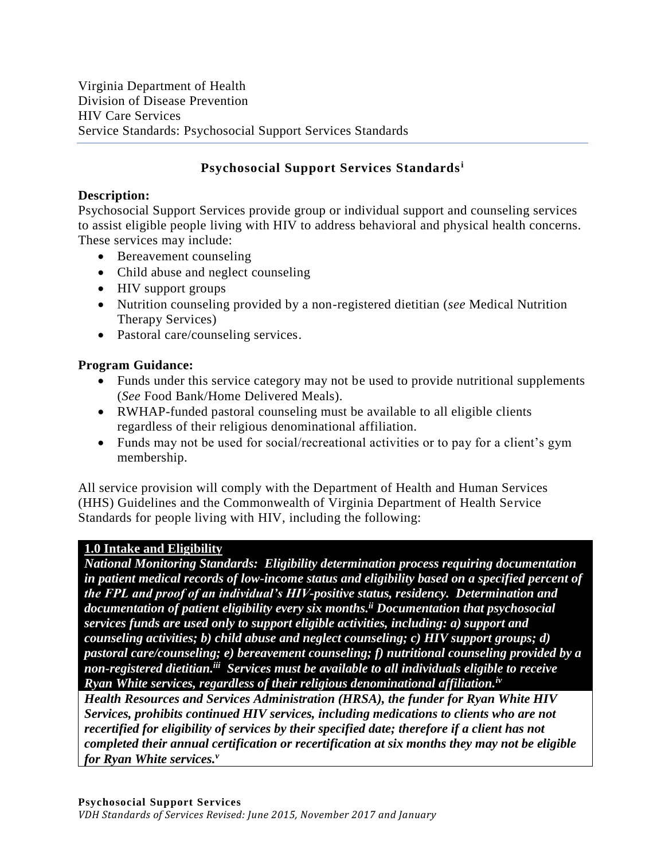# **Psychosocial Support Services Standards<sup>i</sup>**

## **Description:**

Psychosocial Support Services provide group or individual support and counseling services to assist eligible people living with HIV to address behavioral and physical health concerns. These services may include:

- Bereavement counseling
- Child abuse and neglect counseling
- HIV support groups
- Nutrition counseling provided by a non-registered dietitian (*see* Medical Nutrition Therapy Services)
- Pastoral care/counseling services.

## **Program Guidance:**

- Funds under this service category may not be used to provide nutritional supplements (*See* Food Bank/Home Delivered Meals).
- RWHAP-funded pastoral counseling must be available to all eligible clients regardless of their religious denominational affiliation.
- Funds may not be used for social/recreational activities or to pay for a client's gym membership.

All service provision will comply with the Department of Health and Human Services (HHS) Guidelines and the Commonwealth of Virginia Department of Health Service Standards for people living with HIV, including the following:

## **1.0 Intake and Eligibility**

*National Monitoring Standards: Eligibility determination process requiring documentation in patient medical records of low-income status and eligibility based on a specified percent of the FPL and proof of an individual's HIV-positive status, residency. Determination and documentation of patient eligibility every six months. ii Documentation that psychosocial services funds are used only to support eligible activities, including: a) support and counseling activities; b) child abuse and neglect counseling; c) HIV support groups; d) pastoral care/counseling; e) bereavement counseling; f) nutritional counseling provided by a*  non-registered dietitian.<sup>iii</sup> Services must be available to all individuals eligible to receive *Ryan White services, regardless of their religious denominational affiliation.iv*

*Health Resources and Services Administration (HRSA), the funder for Ryan White HIV Services, prohibits continued HIV services, including medications to clients who are not recertified for eligibility of services by their specified date; therefore if a client has not completed their annual certification or recertification at six months they may not be eligible for Ryan White services.v*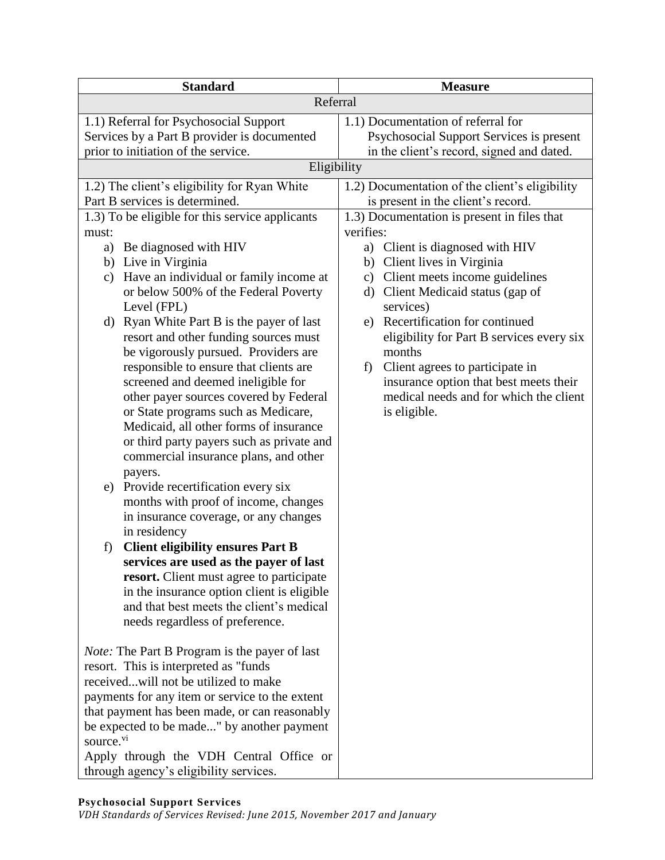| <b>Standard</b>                                                                 | <b>Measure</b>                                    |
|---------------------------------------------------------------------------------|---------------------------------------------------|
| Referral                                                                        |                                                   |
| 1.1) Referral for Psychosocial Support                                          | 1.1) Documentation of referral for                |
| Services by a Part B provider is documented                                     | Psychosocial Support Services is present          |
| prior to initiation of the service.                                             | in the client's record, signed and dated.         |
| Eligibility                                                                     |                                                   |
| 1.2) The client's eligibility for Ryan White                                    | 1.2) Documentation of the client's eligibility    |
| Part B services is determined.                                                  | is present in the client's record.                |
| 1.3) To be eligible for this service applicants                                 | 1.3) Documentation is present in files that       |
| must:                                                                           | verifies:                                         |
| Be diagnosed with HIV<br>a)                                                     | Client is diagnosed with HIV<br>a)                |
| b) Live in Virginia                                                             | b) Client lives in Virginia                       |
| Have an individual or family income at<br>$\mathbf{c})$                         | c) Client meets income guidelines                 |
| or below 500% of the Federal Poverty<br>Level (FPL)                             | Client Medicaid status (gap of<br>d)<br>services) |
| d) Ryan White Part B is the payer of last                                       | e) Recertification for continued                  |
| resort and other funding sources must                                           | eligibility for Part B services every six         |
| be vigorously pursued. Providers are                                            | months                                            |
| responsible to ensure that clients are                                          | Client agrees to participate in<br>f)             |
| screened and deemed ineligible for                                              | insurance option that best meets their            |
| other payer sources covered by Federal                                          | medical needs and for which the client            |
| or State programs such as Medicare,                                             | is eligible.                                      |
| Medicaid, all other forms of insurance                                          |                                                   |
| or third party payers such as private and                                       |                                                   |
| commercial insurance plans, and other                                           |                                                   |
| payers.                                                                         |                                                   |
| Provide recertification every six<br>e)<br>months with proof of income, changes |                                                   |
| in insurance coverage, or any changes                                           |                                                   |
| in residency                                                                    |                                                   |
| <b>Client eligibility ensures Part B</b><br>f)                                  |                                                   |
| services are used as the payer of last                                          |                                                   |
| resort. Client must agree to participate                                        |                                                   |
| in the insurance option client is eligible                                      |                                                   |
| and that best meets the client's medical                                        |                                                   |
| needs regardless of preference.                                                 |                                                   |
| <i>Note:</i> The Part B Program is the payer of last                            |                                                   |
| resort. This is interpreted as "funds                                           |                                                   |
| receivedwill not be utilized to make                                            |                                                   |
| payments for any item or service to the extent                                  |                                                   |
| that payment has been made, or can reasonably                                   |                                                   |
| be expected to be made" by another payment                                      |                                                   |
| source. <sup>vi</sup>                                                           |                                                   |
| Apply through the VDH Central Office or                                         |                                                   |
| through agency's eligibility services.                                          |                                                   |

### **Psychosocial Support Services**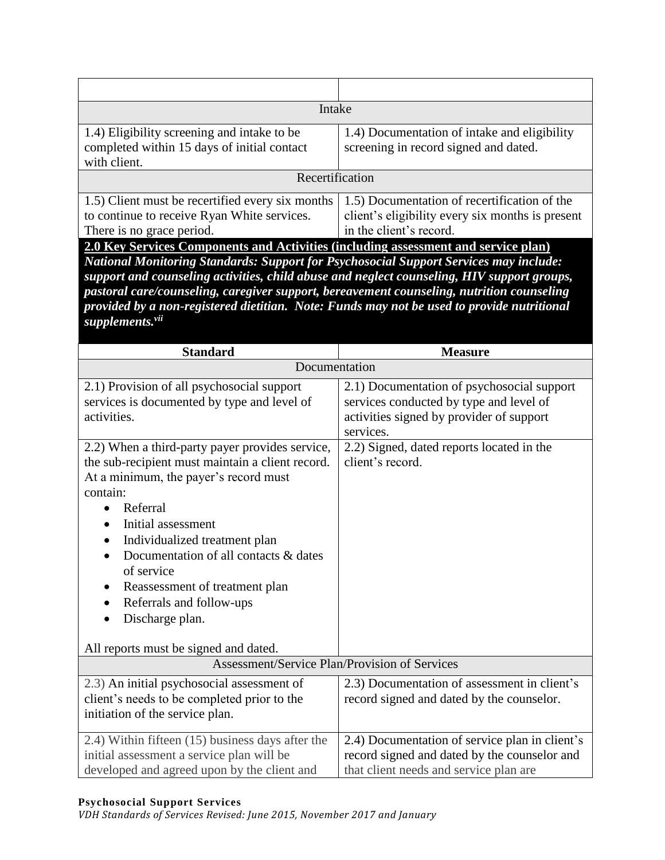| Intake                                                                                                                                                                                                                                                                                                                                                                                                                                                                                                                                                                                                                                     |                                                                                                                                                |
|--------------------------------------------------------------------------------------------------------------------------------------------------------------------------------------------------------------------------------------------------------------------------------------------------------------------------------------------------------------------------------------------------------------------------------------------------------------------------------------------------------------------------------------------------------------------------------------------------------------------------------------------|------------------------------------------------------------------------------------------------------------------------------------------------|
| 1.4) Eligibility screening and intake to be<br>completed within 15 days of initial contact<br>with client.                                                                                                                                                                                                                                                                                                                                                                                                                                                                                                                                 | 1.4) Documentation of intake and eligibility<br>screening in record signed and dated.                                                          |
| Recertification                                                                                                                                                                                                                                                                                                                                                                                                                                                                                                                                                                                                                            |                                                                                                                                                |
| 1.5) Client must be recertified every six months<br>to continue to receive Ryan White services.<br>There is no grace period.<br>2.0 Key Services Components and Activities (including assessment and service plan)<br><b>National Monitoring Standards: Support for Psychosocial Support Services may include:</b><br>support and counseling activities, child abuse and neglect counseling, HIV support groups,<br>pastoral care/counseling, caregiver support, bereavement counseling, nutrition counseling<br>provided by a non-registered dietitian. Note: Funds may not be used to provide nutritional<br>supplements. <sup>vii</sup> | 1.5) Documentation of recertification of the<br>client's eligibility every six months is present<br>in the client's record.                    |
| <b>Standard</b>                                                                                                                                                                                                                                                                                                                                                                                                                                                                                                                                                                                                                            | <b>Measure</b>                                                                                                                                 |
| Documentation                                                                                                                                                                                                                                                                                                                                                                                                                                                                                                                                                                                                                              |                                                                                                                                                |
| 2.1) Provision of all psychosocial support<br>services is documented by type and level of<br>activities.                                                                                                                                                                                                                                                                                                                                                                                                                                                                                                                                   | 2.1) Documentation of psychosocial support<br>services conducted by type and level of<br>activities signed by provider of support<br>services. |
| 2.2) When a third-party payer provides service,<br>the sub-recipient must maintain a client record.<br>At a minimum, the payer's record must<br>contain:<br>Referral<br>Initial assessment<br>Individualized treatment plan<br>Documentation of all contacts & dates<br>$\bullet$<br>of service<br>Reassessment of treatment plan<br>Referrals and follow-ups<br>Discharge plan.<br>All reports must be signed and dated.                                                                                                                                                                                                                  | 2.2) Signed, dated reports located in the<br>client's record.                                                                                  |
| Assessment/Service Plan/Provision of Services                                                                                                                                                                                                                                                                                                                                                                                                                                                                                                                                                                                              |                                                                                                                                                |
| 2.3) An initial psychosocial assessment of<br>client's needs to be completed prior to the<br>initiation of the service plan.                                                                                                                                                                                                                                                                                                                                                                                                                                                                                                               | 2.3) Documentation of assessment in client's<br>record signed and dated by the counselor.                                                      |
| 2.4) Within fifteen (15) business days after the<br>initial assessment a service plan will be<br>developed and agreed upon by the client and                                                                                                                                                                                                                                                                                                                                                                                                                                                                                               | 2.4) Documentation of service plan in client's<br>record signed and dated by the counselor and<br>that client needs and service plan are       |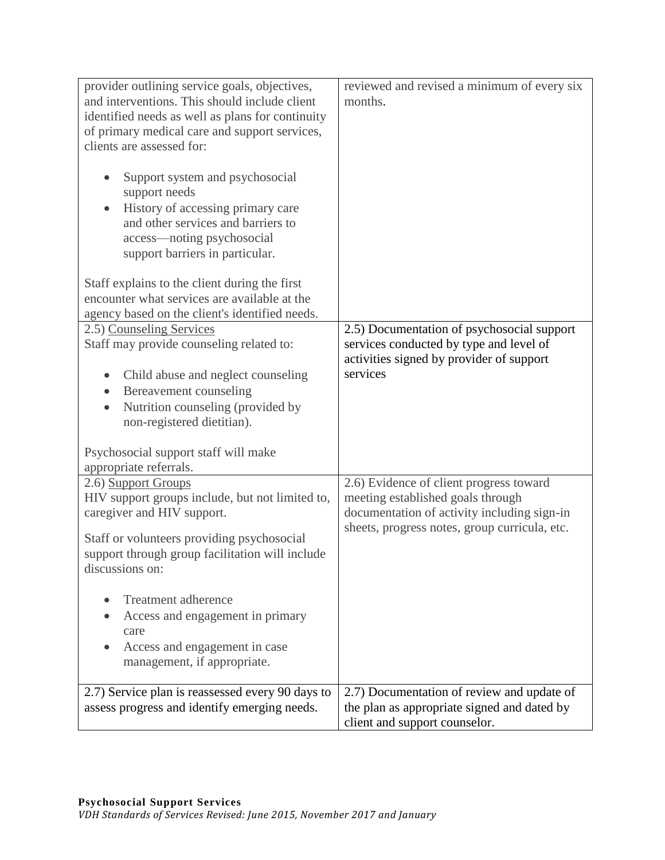| provider outlining service goals, objectives,<br>and interventions. This should include client<br>identified needs as well as plans for continuity<br>of primary medical care and support services,<br>clients are assessed for:<br>Support system and psychosocial<br>$\bullet$<br>support needs<br>History of accessing primary care<br>and other services and barriers to<br>access—noting psychosocial | reviewed and revised a minimum of every six<br>months.                                                                                                                       |
|------------------------------------------------------------------------------------------------------------------------------------------------------------------------------------------------------------------------------------------------------------------------------------------------------------------------------------------------------------------------------------------------------------|------------------------------------------------------------------------------------------------------------------------------------------------------------------------------|
| support barriers in particular.<br>Staff explains to the client during the first<br>encounter what services are available at the<br>agency based on the client's identified needs.                                                                                                                                                                                                                         |                                                                                                                                                                              |
| 2.5) Counseling Services<br>Staff may provide counseling related to:<br>Child abuse and neglect counseling<br>Bereavement counseling<br>Nutrition counseling (provided by<br>$\bullet$<br>non-registered dietitian).                                                                                                                                                                                       | 2.5) Documentation of psychosocial support<br>services conducted by type and level of<br>activities signed by provider of support<br>services                                |
| Psychosocial support staff will make<br>appropriate referrals.                                                                                                                                                                                                                                                                                                                                             |                                                                                                                                                                              |
| 2.6) Support Groups<br>HIV support groups include, but not limited to,<br>caregiver and HIV support.<br>Staff or volunteers providing psychosocial<br>support through group facilitation will include<br>discussions on:                                                                                                                                                                                   | 2.6) Evidence of client progress toward<br>meeting established goals through<br>documentation of activity including sign-in<br>sheets, progress notes, group curricula, etc. |
| <b>Treatment adherence</b><br>Access and engagement in primary<br>care<br>Access and engagement in case<br>management, if appropriate.                                                                                                                                                                                                                                                                     |                                                                                                                                                                              |
| 2.7) Service plan is reassessed every 90 days to<br>assess progress and identify emerging needs.                                                                                                                                                                                                                                                                                                           | 2.7) Documentation of review and update of<br>the plan as appropriate signed and dated by<br>client and support counselor.                                                   |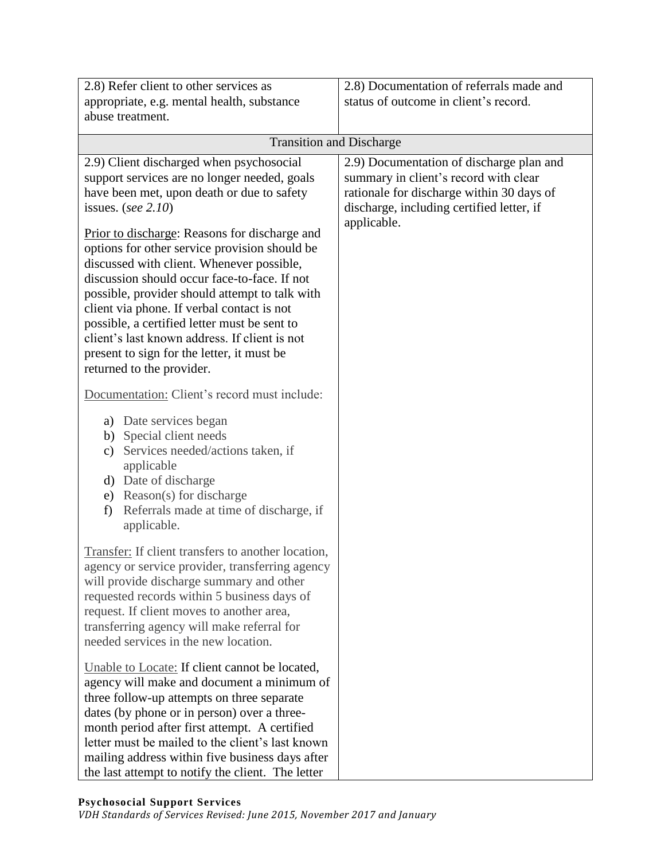| 2.8) Refer client to other services as<br>appropriate, e.g. mental health, substance<br>abuse treatment.                                                                                                                                                                                                                                                                                                                                                                                                                                                                                                                                   | 2.8) Documentation of referrals made and<br>status of outcome in client's record.                                                                                                          |
|--------------------------------------------------------------------------------------------------------------------------------------------------------------------------------------------------------------------------------------------------------------------------------------------------------------------------------------------------------------------------------------------------------------------------------------------------------------------------------------------------------------------------------------------------------------------------------------------------------------------------------------------|--------------------------------------------------------------------------------------------------------------------------------------------------------------------------------------------|
| <b>Transition and Discharge</b>                                                                                                                                                                                                                                                                                                                                                                                                                                                                                                                                                                                                            |                                                                                                                                                                                            |
| 2.9) Client discharged when psychosocial<br>support services are no longer needed, goals<br>have been met, upon death or due to safety<br>issues. (see $2.10$ )<br>Prior to discharge: Reasons for discharge and<br>options for other service provision should be<br>discussed with client. Whenever possible,<br>discussion should occur face-to-face. If not<br>possible, provider should attempt to talk with<br>client via phone. If verbal contact is not<br>possible, a certified letter must be sent to<br>client's last known address. If client is not<br>present to sign for the letter, it must be<br>returned to the provider. | 2.9) Documentation of discharge plan and<br>summary in client's record with clear<br>rationale for discharge within 30 days of<br>discharge, including certified letter, if<br>applicable. |
| Documentation: Client's record must include:<br>a) Date services began<br>b) Special client needs<br>Services needed/actions taken, if<br>$\mathbf{c})$<br>applicable<br>d) Date of discharge<br>e) Reason(s) for discharge<br>Referrals made at time of discharge, if<br>f)<br>applicable.                                                                                                                                                                                                                                                                                                                                                |                                                                                                                                                                                            |
| Transfer: If client transfers to another location,<br>agency or service provider, transferring agency<br>will provide discharge summary and other<br>requested records within 5 business days of<br>request. If client moves to another area,<br>transferring agency will make referral for<br>needed services in the new location.                                                                                                                                                                                                                                                                                                        |                                                                                                                                                                                            |
| Unable to Locate: If client cannot be located,<br>agency will make and document a minimum of<br>three follow-up attempts on three separate<br>dates (by phone or in person) over a three-<br>month period after first attempt. A certified<br>letter must be mailed to the client's last known<br>mailing address within five business days after<br>the last attempt to notify the client. The letter                                                                                                                                                                                                                                     |                                                                                                                                                                                            |

#### **Psychosocial Support Services**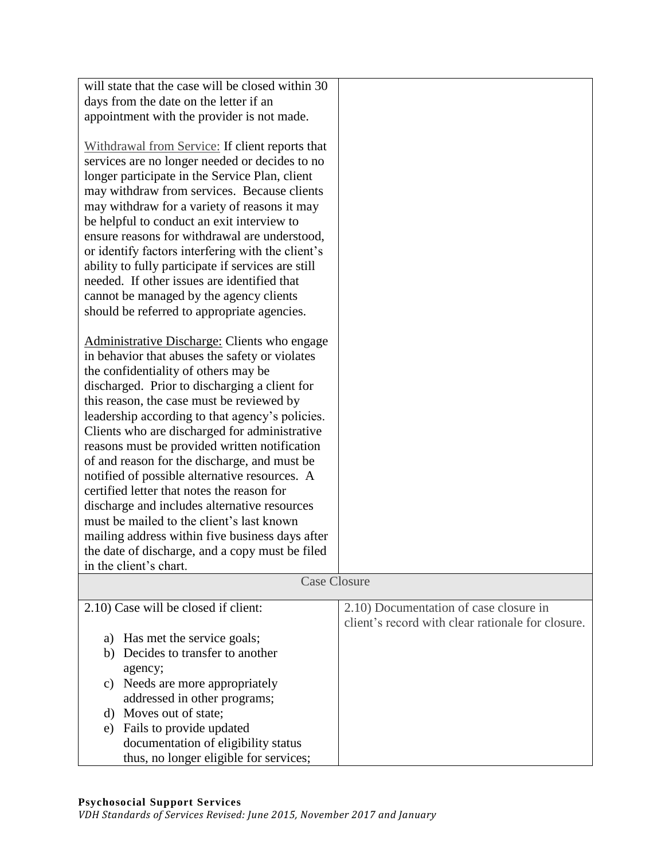| will state that the case will be closed within 30                                                                                                                                                                                                                                                                                                                                                                                                                                                                                                                                                                                            |                                                                                             |
|----------------------------------------------------------------------------------------------------------------------------------------------------------------------------------------------------------------------------------------------------------------------------------------------------------------------------------------------------------------------------------------------------------------------------------------------------------------------------------------------------------------------------------------------------------------------------------------------------------------------------------------------|---------------------------------------------------------------------------------------------|
| days from the date on the letter if an                                                                                                                                                                                                                                                                                                                                                                                                                                                                                                                                                                                                       |                                                                                             |
| appointment with the provider is not made.                                                                                                                                                                                                                                                                                                                                                                                                                                                                                                                                                                                                   |                                                                                             |
| Withdrawal from Service: If client reports that<br>services are no longer needed or decides to no<br>longer participate in the Service Plan, client<br>may withdraw from services. Because clients<br>may withdraw for a variety of reasons it may<br>be helpful to conduct an exit interview to<br>ensure reasons for withdrawal are understood,<br>or identify factors interfering with the client's<br>ability to fully participate if services are still<br>needed. If other issues are identified that<br>cannot be managed by the agency clients<br>should be referred to appropriate agencies.                                        |                                                                                             |
| <b>Administrative Discharge: Clients who engage</b><br>in behavior that abuses the safety or violates<br>the confidentiality of others may be<br>discharged. Prior to discharging a client for<br>this reason, the case must be reviewed by<br>leadership according to that agency's policies.<br>Clients who are discharged for administrative<br>reasons must be provided written notification<br>of and reason for the discharge, and must be<br>notified of possible alternative resources. A<br>certified letter that notes the reason for<br>discharge and includes alternative resources<br>must be mailed to the client's last known |                                                                                             |
| mailing address within five business days after                                                                                                                                                                                                                                                                                                                                                                                                                                                                                                                                                                                              |                                                                                             |
| the date of discharge, and a copy must be filed                                                                                                                                                                                                                                                                                                                                                                                                                                                                                                                                                                                              |                                                                                             |
| in the client's chart.                                                                                                                                                                                                                                                                                                                                                                                                                                                                                                                                                                                                                       |                                                                                             |
| <b>Case Closure</b>                                                                                                                                                                                                                                                                                                                                                                                                                                                                                                                                                                                                                          |                                                                                             |
| 2.10) Case will be closed if client:                                                                                                                                                                                                                                                                                                                                                                                                                                                                                                                                                                                                         | 2.10) Documentation of case closure in<br>client's record with clear rationale for closure. |
| a) Has met the service goals;                                                                                                                                                                                                                                                                                                                                                                                                                                                                                                                                                                                                                |                                                                                             |
| Decides to transfer to another<br>b)                                                                                                                                                                                                                                                                                                                                                                                                                                                                                                                                                                                                         |                                                                                             |
| agency;                                                                                                                                                                                                                                                                                                                                                                                                                                                                                                                                                                                                                                      |                                                                                             |
| Needs are more appropriately<br>C)                                                                                                                                                                                                                                                                                                                                                                                                                                                                                                                                                                                                           |                                                                                             |
| addressed in other programs;                                                                                                                                                                                                                                                                                                                                                                                                                                                                                                                                                                                                                 |                                                                                             |
| Moves out of state;<br>d)                                                                                                                                                                                                                                                                                                                                                                                                                                                                                                                                                                                                                    |                                                                                             |
| Fails to provide updated<br>e)                                                                                                                                                                                                                                                                                                                                                                                                                                                                                                                                                                                                               |                                                                                             |
| documentation of eligibility status                                                                                                                                                                                                                                                                                                                                                                                                                                                                                                                                                                                                          |                                                                                             |
| thus, no longer eligible for services;                                                                                                                                                                                                                                                                                                                                                                                                                                                                                                                                                                                                       |                                                                                             |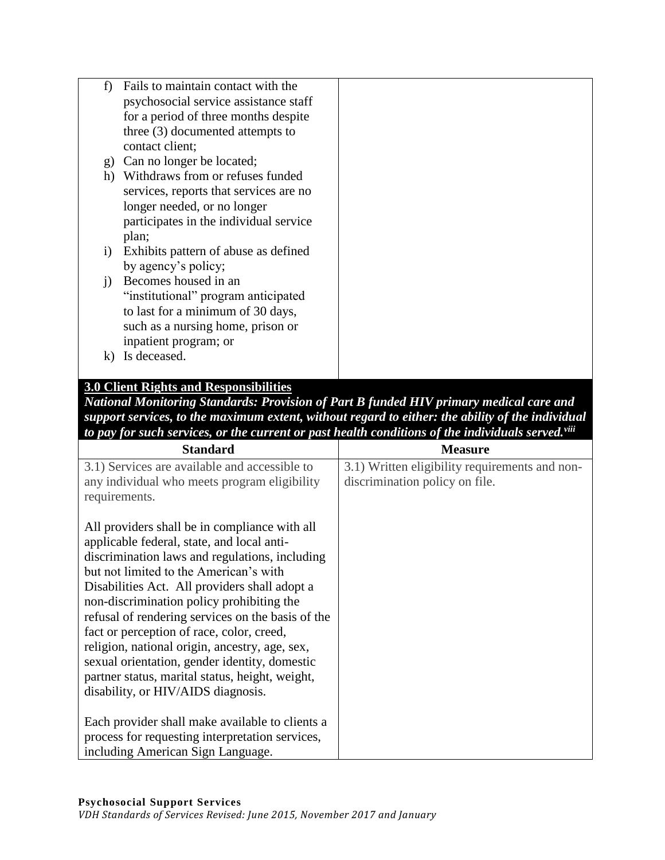| f)                           | Fails to maintain contact with the     |  |
|------------------------------|----------------------------------------|--|
|                              | psychosocial service assistance staff  |  |
|                              | for a period of three months despite   |  |
|                              | three (3) documented attempts to       |  |
|                              | contact client;                        |  |
| g)                           | Can no longer be located;              |  |
| h)                           | Withdraws from or refuses funded       |  |
|                              | services, reports that services are no |  |
|                              | longer needed, or no longer            |  |
|                              | participates in the individual service |  |
|                              | plan;                                  |  |
| $\left( \frac{1}{2} \right)$ | Exhibits pattern of abuse as defined   |  |
|                              | by agency's policy;                    |  |
| $\left( \right)$             | Becomes housed in an                   |  |
|                              | "institutional" program anticipated    |  |
|                              | to last for a minimum of 30 days,      |  |
|                              | such as a nursing home, prison or      |  |
|                              | inpatient program; or                  |  |
| $\bf k$                      | Is deceased.                           |  |
|                              |                                        |  |

# **3.0 Client Rights and Responsibilities**

*National Monitoring Standards: Provision of Part B funded HIV primary medical care and support services, to the maximum extent, without regard to either: the ability of the individual to pay for such services, or the current or past health conditions of the individuals served.viii*

| <b>Standard</b>                                   | <b>Measure</b>                                 |
|---------------------------------------------------|------------------------------------------------|
| 3.1) Services are available and accessible to     | 3.1) Written eligibility requirements and non- |
| any individual who meets program eligibility      | discrimination policy on file.                 |
| requirements.                                     |                                                |
|                                                   |                                                |
| All providers shall be in compliance with all     |                                                |
| applicable federal, state, and local anti-        |                                                |
| discrimination laws and regulations, including    |                                                |
| but not limited to the American's with            |                                                |
| Disabilities Act. All providers shall adopt a     |                                                |
| non-discrimination policy prohibiting the         |                                                |
| refusal of rendering services on the basis of the |                                                |
| fact or perception of race, color, creed,         |                                                |
| religion, national origin, ancestry, age, sex,    |                                                |
| sexual orientation, gender identity, domestic     |                                                |
| partner status, marital status, height, weight,   |                                                |
| disability, or HIV/AIDS diagnosis.                |                                                |
|                                                   |                                                |
| Each provider shall make available to clients a   |                                                |
| process for requesting interpretation services,   |                                                |
| including American Sign Language.                 |                                                |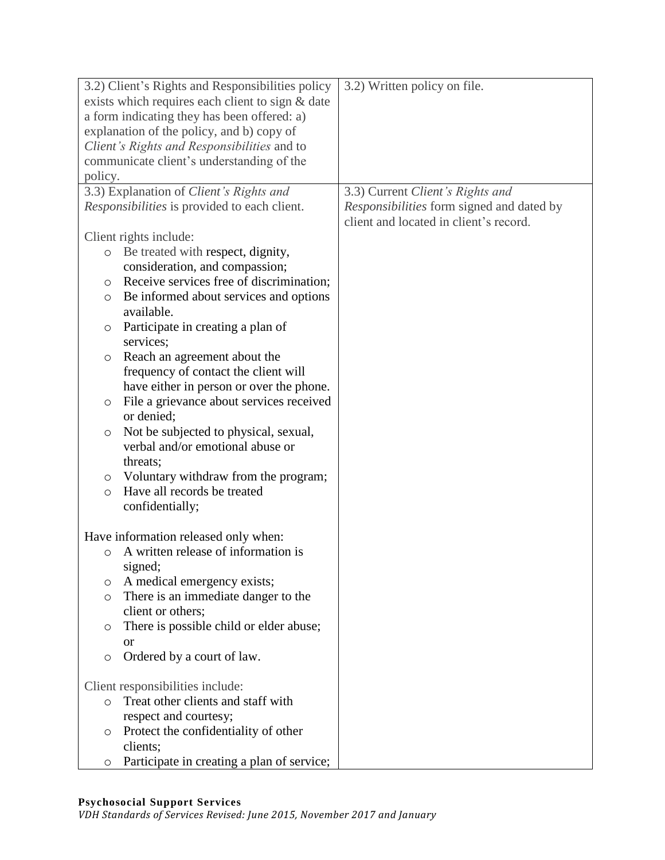|                                                  | 3.2) Client's Rights and Responsibilities policy     | 3.2) Written policy on file.              |
|--------------------------------------------------|------------------------------------------------------|-------------------------------------------|
| exists which requires each client to sign & date |                                                      |                                           |
| a form indicating they has been offered: a)      |                                                      |                                           |
|                                                  | explanation of the policy, and b) copy of            |                                           |
|                                                  | Client's Rights and Responsibilities and to          |                                           |
|                                                  | communicate client's understanding of the            |                                           |
| policy.                                          |                                                      |                                           |
|                                                  | 3.3) Explanation of Client's Rights and              | 3.3) Current Client's Rights and          |
|                                                  | <i>Responsibilities</i> is provided to each client.  | Responsibilities form signed and dated by |
|                                                  |                                                      | client and located in client's record.    |
|                                                  | Client rights include:                               |                                           |
| $\circ$                                          | Be treated with respect, dignity,                    |                                           |
|                                                  | consideration, and compassion;                       |                                           |
|                                                  | Receive services free of discrimination;             |                                           |
| O                                                |                                                      |                                           |
| $\circ$                                          | Be informed about services and options<br>available. |                                           |
|                                                  |                                                      |                                           |
| O                                                | Participate in creating a plan of                    |                                           |
|                                                  | services;                                            |                                           |
| O                                                | Reach an agreement about the                         |                                           |
|                                                  | frequency of contact the client will                 |                                           |
|                                                  | have either in person or over the phone.             |                                           |
| O                                                | File a grievance about services received             |                                           |
|                                                  | or denied;                                           |                                           |
| $\circ$                                          | Not be subjected to physical, sexual,                |                                           |
|                                                  | verbal and/or emotional abuse or                     |                                           |
|                                                  | threats;                                             |                                           |
| O                                                | Voluntary withdraw from the program;                 |                                           |
| $\circ$                                          | Have all records be treated                          |                                           |
|                                                  | confidentially;                                      |                                           |
|                                                  |                                                      |                                           |
|                                                  | Have information released only when:                 |                                           |
| $\circ$                                          | A written release of information is                  |                                           |
|                                                  | signed;                                              |                                           |
| O                                                | A medical emergency exists;                          |                                           |
| $\circ$                                          | There is an immediate danger to the                  |                                           |
|                                                  | client or others;                                    |                                           |
| O                                                | There is possible child or elder abuse;              |                                           |
|                                                  | <b>or</b>                                            |                                           |
| O                                                | Ordered by a court of law.                           |                                           |
|                                                  |                                                      |                                           |
| Client responsibilities include:                 |                                                      |                                           |
| $\circ$                                          | Treat other clients and staff with                   |                                           |
|                                                  | respect and courtesy;                                |                                           |
| O                                                | Protect the confidentiality of other                 |                                           |
|                                                  | clients;                                             |                                           |
| O                                                | Participate in creating a plan of service;           |                                           |

#### **Psychosocial Support Services**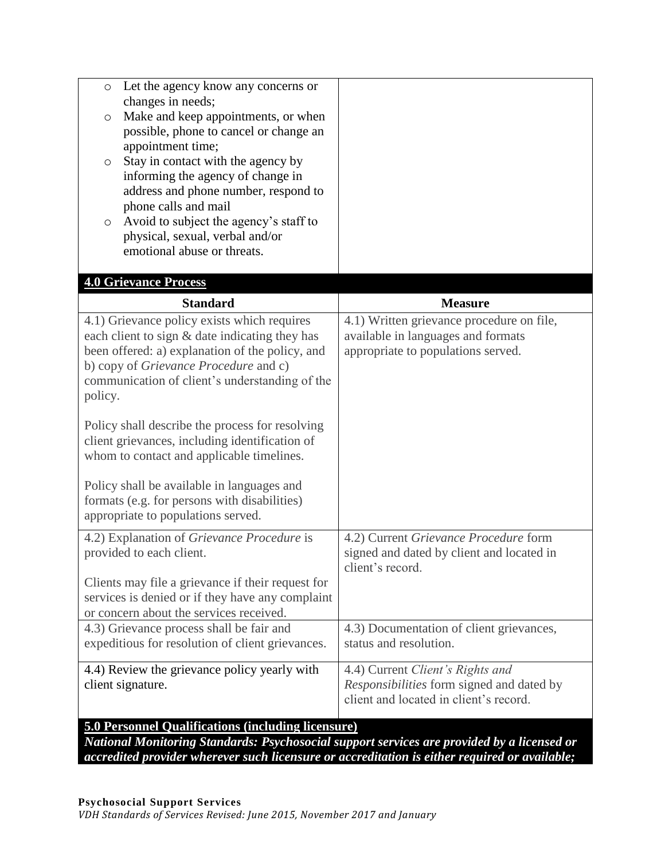| Let the agency know any concerns or<br>$\circ$                                             |                                                                    |
|--------------------------------------------------------------------------------------------|--------------------------------------------------------------------|
| changes in needs;<br>Make and keep appointments, or when<br>O                              |                                                                    |
| possible, phone to cancel or change an                                                     |                                                                    |
| appointment time;                                                                          |                                                                    |
| Stay in contact with the agency by<br>O                                                    |                                                                    |
| informing the agency of change in                                                          |                                                                    |
| address and phone number, respond to                                                       |                                                                    |
| phone calls and mail<br>Avoid to subject the agency's staff to                             |                                                                    |
| $\circ$<br>physical, sexual, verbal and/or                                                 |                                                                    |
| emotional abuse or threats.                                                                |                                                                    |
|                                                                                            |                                                                    |
| <b>4.0 Grievance Process</b>                                                               |                                                                    |
| <b>Standard</b>                                                                            | <b>Measure</b>                                                     |
| 4.1) Grievance policy exists which requires                                                | 4.1) Written grievance procedure on file,                          |
| each client to sign & date indicating they has                                             | available in languages and formats                                 |
| been offered: a) explanation of the policy, and                                            | appropriate to populations served.                                 |
| b) copy of Grievance Procedure and c)<br>communication of client's understanding of the    |                                                                    |
| policy.                                                                                    |                                                                    |
|                                                                                            |                                                                    |
| Policy shall describe the process for resolving                                            |                                                                    |
| client grievances, including identification of                                             |                                                                    |
| whom to contact and applicable timelines.                                                  |                                                                    |
| Policy shall be available in languages and                                                 |                                                                    |
| formats (e.g. for persons with disabilities)                                               |                                                                    |
| appropriate to populations served.                                                         |                                                                    |
| 4.2) Explanation of Grievance Procedure is                                                 | 4.2) Current Grievance Procedure form                              |
| provided to each client.                                                                   | signed and dated by client and located in                          |
|                                                                                            | client's record.                                                   |
| Clients may file a grievance if their request for                                          |                                                                    |
| services is denied or if they have any complaint                                           |                                                                    |
| or concern about the services received.                                                    |                                                                    |
| 4.3) Grievance process shall be fair and                                                   | 4.3) Documentation of client grievances,<br>status and resolution. |
| expeditious for resolution of client grievances.                                           |                                                                    |
| 4.4) Review the grievance policy yearly with                                               | 4.4) Current Client's Rights and                                   |
| client signature.                                                                          | Responsibilities form signed and dated by                          |
|                                                                                            | client and located in client's record.                             |
| <b>5.0 Personnel Qualifications (including licensure)</b>                                  |                                                                    |
| National Monitoring Standards: Psychosocial support services are provided by a licensed or |                                                                    |

*accredited provider wherever such licensure or accreditation is either required or available;*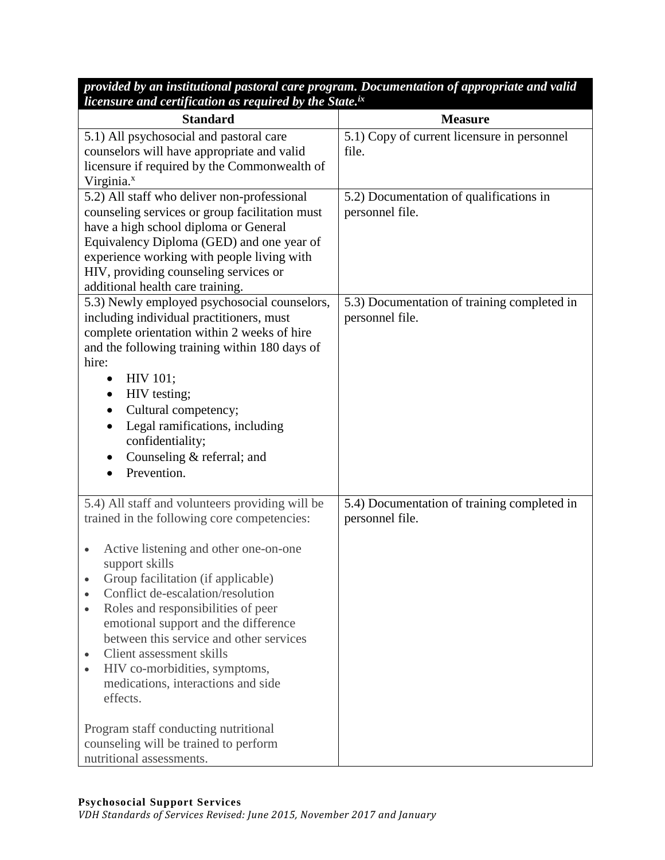*provided by an institutional pastoral care program. Documentation of appropriate and valid licensure and certification as required by the State.ix*

| <b>Standard</b>                                                                          | <b>Measure</b>                                                 |
|------------------------------------------------------------------------------------------|----------------------------------------------------------------|
| 5.1) All psychosocial and pastoral care                                                  | 5.1) Copy of current licensure in personnel                    |
| counselors will have appropriate and valid                                               | file.                                                          |
| licensure if required by the Commonwealth of<br>Virginia. <sup>x</sup>                   |                                                                |
| 5.2) All staff who deliver non-professional                                              | 5.2) Documentation of qualifications in                        |
| counseling services or group facilitation must                                           | personnel file.                                                |
| have a high school diploma or General                                                    |                                                                |
| Equivalency Diploma (GED) and one year of                                                |                                                                |
| experience working with people living with                                               |                                                                |
| HIV, providing counseling services or                                                    |                                                                |
| additional health care training.                                                         |                                                                |
| 5.3) Newly employed psychosocial counselors,<br>including individual practitioners, must | 5.3) Documentation of training completed in<br>personnel file. |
| complete orientation within 2 weeks of hire                                              |                                                                |
| and the following training within 180 days of                                            |                                                                |
| hire:                                                                                    |                                                                |
| HIV 101;                                                                                 |                                                                |
| HIV testing;                                                                             |                                                                |
| Cultural competency;                                                                     |                                                                |
| Legal ramifications, including<br>٠                                                      |                                                                |
| confidentiality;                                                                         |                                                                |
| Counseling & referral; and<br>٠                                                          |                                                                |
| Prevention.                                                                              |                                                                |
| 5.4) All staff and volunteers providing will be                                          | 5.4) Documentation of training completed in                    |
| trained in the following core competencies:                                              | personnel file.                                                |
|                                                                                          |                                                                |
| Active listening and other one-on-one<br>$\bullet$                                       |                                                                |
| support skills                                                                           |                                                                |
| Group facilitation (if applicable)<br>٠                                                  |                                                                |
| Conflict de-escalation/resolution                                                        |                                                                |
| Roles and responsibilities of peer<br>emotional support and the difference               |                                                                |
| between this service and other services                                                  |                                                                |
| Client assessment skills                                                                 |                                                                |
| HIV co-morbidities, symptoms,                                                            |                                                                |
| medications, interactions and side                                                       |                                                                |
| effects.                                                                                 |                                                                |
|                                                                                          |                                                                |
| Program staff conducting nutritional                                                     |                                                                |
| counseling will be trained to perform<br>nutritional assessments.                        |                                                                |
|                                                                                          |                                                                |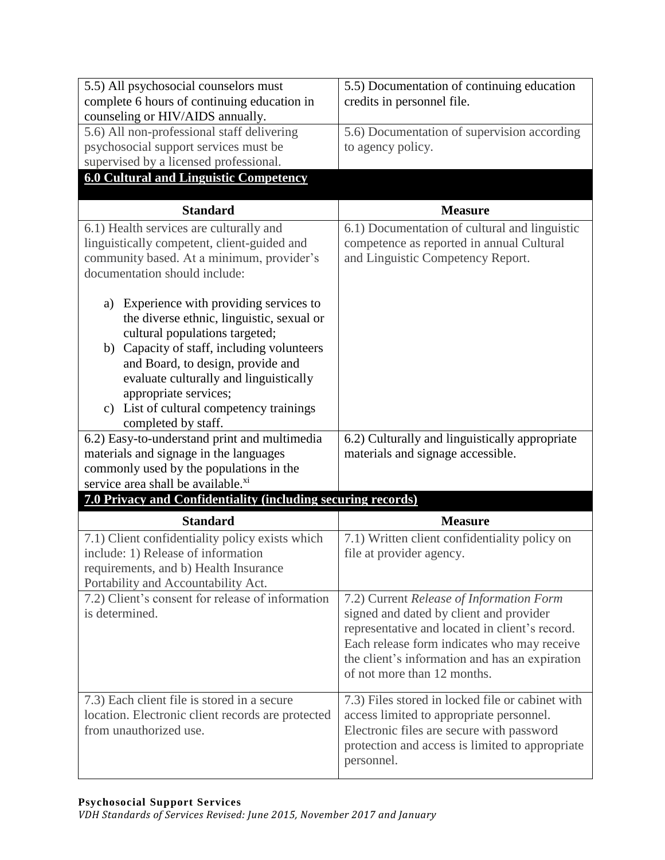| 5.5) All psychosocial counselors must                                             | 5.5) Documentation of continuing education                                          |
|-----------------------------------------------------------------------------------|-------------------------------------------------------------------------------------|
| complete 6 hours of continuing education in                                       | credits in personnel file.                                                          |
| counseling or HIV/AIDS annually.                                                  |                                                                                     |
| 5.6) All non-professional staff delivering                                        | 5.6) Documentation of supervision according                                         |
| psychosocial support services must be                                             | to agency policy.                                                                   |
| supervised by a licensed professional.                                            |                                                                                     |
| <b>6.0 Cultural and Linguistic Competency</b>                                     |                                                                                     |
| <b>Standard</b>                                                                   | <b>Measure</b>                                                                      |
| 6.1) Health services are culturally and                                           | 6.1) Documentation of cultural and linguistic                                       |
| linguistically competent, client-guided and                                       | competence as reported in annual Cultural                                           |
| community based. At a minimum, provider's                                         | and Linguistic Competency Report.                                                   |
| documentation should include:                                                     |                                                                                     |
|                                                                                   |                                                                                     |
| Experience with providing services to<br>a)                                       |                                                                                     |
| the diverse ethnic, linguistic, sexual or                                         |                                                                                     |
| cultural populations targeted;                                                    |                                                                                     |
| b) Capacity of staff, including volunteers                                        |                                                                                     |
| and Board, to design, provide and                                                 |                                                                                     |
| evaluate culturally and linguistically                                            |                                                                                     |
| appropriate services;                                                             |                                                                                     |
| c) List of cultural competency trainings                                          |                                                                                     |
| completed by staff.                                                               |                                                                                     |
| 6.2) Easy-to-understand print and multimedia                                      | 6.2) Culturally and linguistically appropriate                                      |
| materials and signage in the languages<br>commonly used by the populations in the | materials and signage accessible.                                                   |
| service area shall be available. <sup>xi</sup>                                    |                                                                                     |
| 7.0 Privacy and Confidentiality (including securing records)                      |                                                                                     |
|                                                                                   |                                                                                     |
| <b>Standard</b>                                                                   | <b>Measure</b>                                                                      |
| 7.1) Client confidentiality policy exists which                                   | 7.1) Written client confidentiality policy on                                       |
| include: 1) Release of information                                                | file at provider agency.                                                            |
| requirements, and b) Health Insurance                                             |                                                                                     |
| Portability and Accountability Act.                                               |                                                                                     |
| 7.2) Client's consent for release of information<br>is determined.                | 7.2) Current Release of Information Form<br>signed and dated by client and provider |
|                                                                                   | representative and located in client's record.                                      |
|                                                                                   | Each release form indicates who may receive                                         |
|                                                                                   | the client's information and has an expiration                                      |
|                                                                                   | of not more than 12 months.                                                         |
|                                                                                   |                                                                                     |
| 7.3) Each client file is stored in a secure                                       | 7.3) Files stored in locked file or cabinet with                                    |
|                                                                                   |                                                                                     |
| location. Electronic client records are protected                                 | access limited to appropriate personnel.                                            |
| from unauthorized use.                                                            | Electronic files are secure with password                                           |
|                                                                                   | protection and access is limited to appropriate<br>personnel.                       |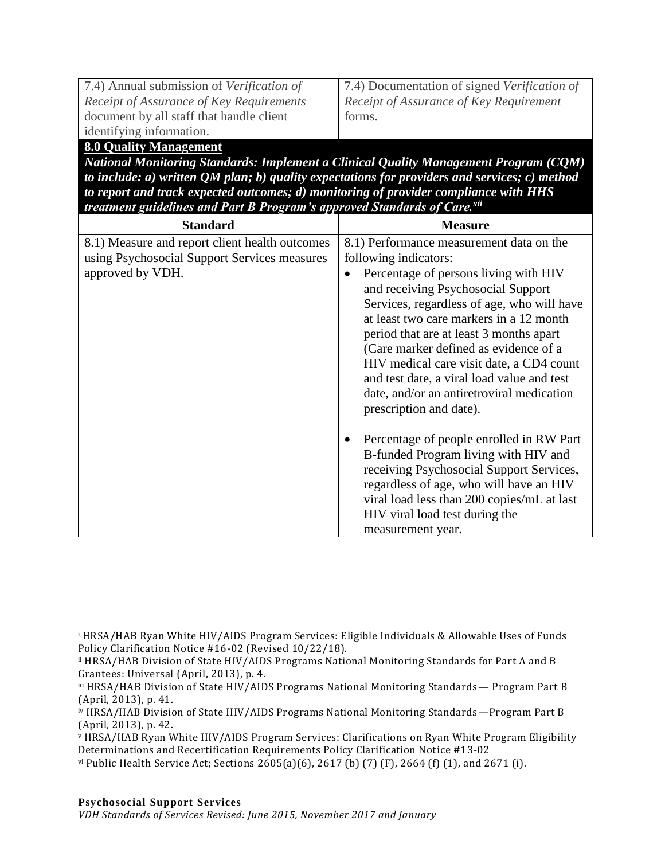| 7.4) Annual submission of Verification of |
|-------------------------------------------|
| Receipt of Assurance of Key Requirements  |
| document by all staff that handle client  |
| identifying information.                  |

7.4) Documentation of signed *Verification of Receipt of Assurance of Key Requirement* forms.

### **8.0 Quality Management**

 $\overline{a}$ 

*National Monitoring Standards: Implement a Clinical Quality Management Program (CQM) to include: a) written QM plan; b) quality expectations for providers and services; c) method to report and track expected outcomes; d) monitoring of provider compliance with HHS treatment guidelines and Part B Program's approved Standards of Care.xii*

| <b>Standard</b>                                                                                                    | <b>Measure</b>                                                                                                                                                                                                                                                                                                                                                                                                                                                                                               |
|--------------------------------------------------------------------------------------------------------------------|--------------------------------------------------------------------------------------------------------------------------------------------------------------------------------------------------------------------------------------------------------------------------------------------------------------------------------------------------------------------------------------------------------------------------------------------------------------------------------------------------------------|
| 8.1) Measure and report client health outcomes<br>using Psychosocial Support Services measures<br>approved by VDH. | 8.1) Performance measurement data on the<br>following indicators:<br>Percentage of persons living with HIV<br>$\bullet$<br>and receiving Psychosocial Support<br>Services, regardless of age, who will have<br>at least two care markers in a 12 month<br>period that are at least 3 months apart<br>(Care marker defined as evidence of a<br>HIV medical care visit date, a CD4 count<br>and test date, a viral load value and test<br>date, and/or an antiretroviral medication<br>prescription and date). |
|                                                                                                                    | Percentage of people enrolled in RW Part<br>٠<br>B-funded Program living with HIV and<br>receiving Psychosocial Support Services,<br>regardless of age, who will have an HIV<br>viral load less than 200 copies/mL at last<br>HIV viral load test during the<br>measurement year.                                                                                                                                                                                                                            |

<sup>i</sup> HRSA/HAB Ryan White HIV/AIDS Program Services: Eligible Individuals & Allowable Uses of Funds Policy Clarification Notice #16-02 (Revised 10/22/18).

ii HRSA/HAB Division of State HIV/AIDS Programs National Monitoring Standards for Part A and B Grantees: Universal (April, 2013), p. 4.

iii HRSA/HAB Division of State HIV/AIDS Programs National Monitoring Standards - Program Part B (April, 2013), p. 41.

iv HRSA/HAB Division of State HIV/AIDS Programs National Monitoring Standards—Program Part B (April, 2013), p. 42.

<sup>v</sup> HRSA/HAB Ryan White HIV/AIDS Program Services: Clarifications on Ryan White Program Eligibility Determinations and Recertification Requirements Policy Clarification Notice #13-02

vi Public Health Service Act; Sections 2605(a)(6), 2617 (b) (7) (F), 2664 (f) (1), and 2671 (i).